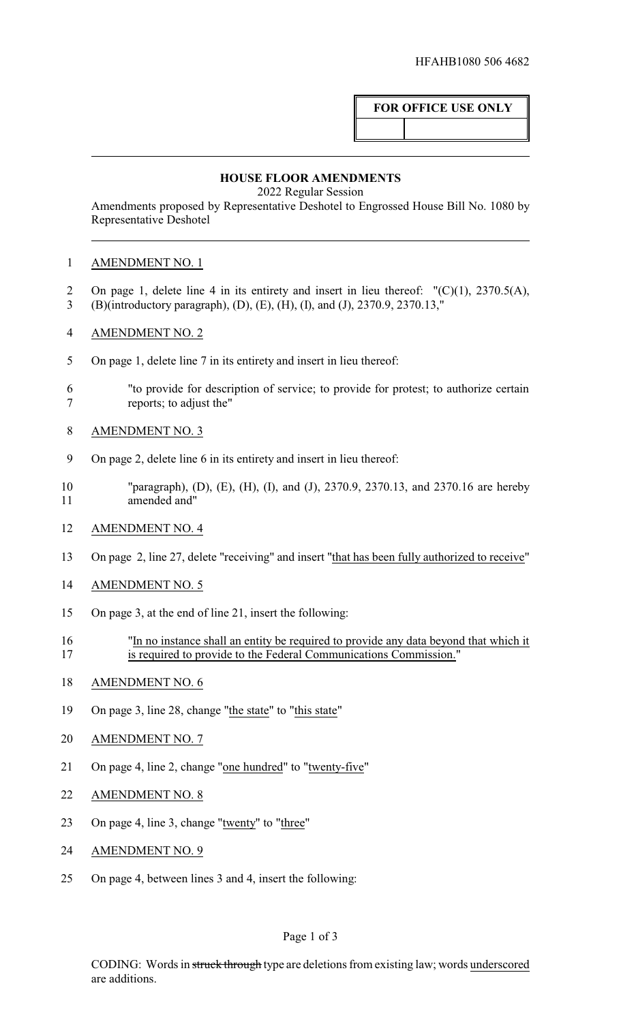# **FOR OFFICE USE ONLY**

#### **HOUSE FLOOR AMENDMENTS**

2022 Regular Session

Amendments proposed by Representative Deshotel to Engrossed House Bill No. 1080 by Representative Deshotel

### AMENDMENT NO. 1

- On page 1, delete line 4 in its entirety and insert in lieu thereof: "(C)(1), 2370.5(A), (B)(introductory paragraph), (D), (E), (H), (I), and (J), 2370.9, 2370.13,"
- AMENDMENT NO. 2
- On page 1, delete line 7 in its entirety and insert in lieu thereof:
- "to provide for description of service; to provide for protest; to authorize certain reports; to adjust the"
- AMENDMENT NO. 3
- On page 2, delete line 6 in its entirety and insert in lieu thereof:
- "paragraph), (D), (E), (H), (I), and (J), 2370.9, 2370.13, and 2370.16 are hereby amended and"
- AMENDMENT NO. 4
- On page 2, line 27, delete "receiving" and insert "that has been fully authorized to receive"
- AMENDMENT NO. 5
- On page 3, at the end of line 21, insert the following:
- "In no instance shall an entity be required to provide any data beyond that which it is required to provide to the Federal Communications Commission."
- AMENDMENT NO. 6
- 19 On page 3, line 28, change "the state" to "this state"
- AMENDMENT NO. 7
- On page 4, line 2, change "one hundred" to "twenty-five"
- AMENDMENT NO. 8
- On page 4, line 3, change "twenty" to "three"
- AMENDMENT NO. 9
- On page 4, between lines 3 and 4, insert the following: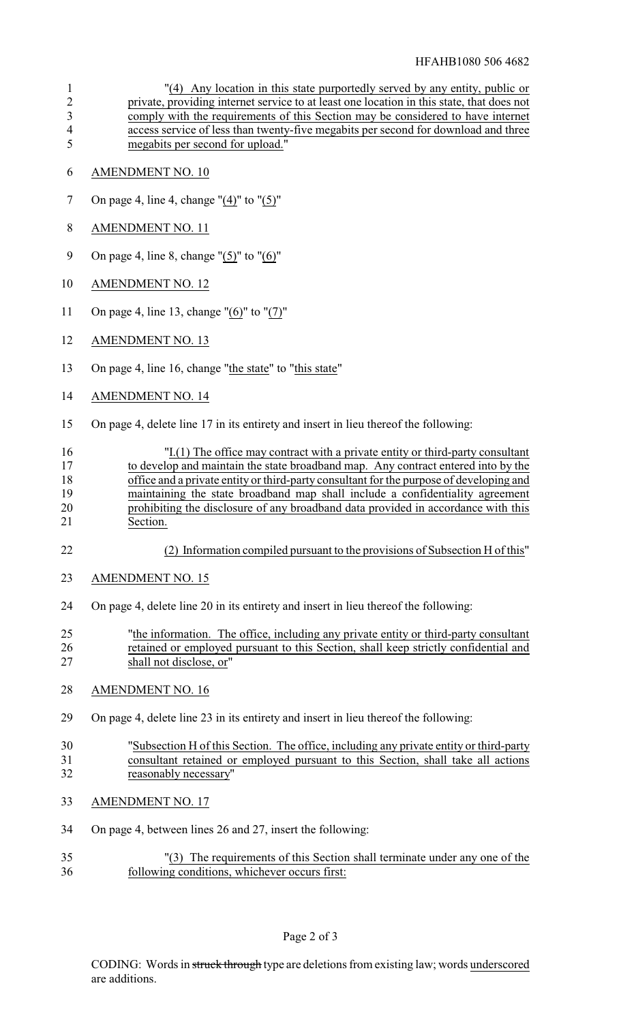## HFAHB1080 506 4682

| $\mathbf{1}$<br>$\overline{2}$<br>$\overline{\mathbf{3}}$<br>$\overline{\mathcal{A}}$<br>5 | "(4) Any location in this state purportedly served by any entity, public or<br>private, providing internet service to at least one location in this state, that does not<br>comply with the requirements of this Section may be considered to have internet<br>access service of less than twenty-five megabits per second for download and three<br>megabits per second for upload."                                                            |
|--------------------------------------------------------------------------------------------|--------------------------------------------------------------------------------------------------------------------------------------------------------------------------------------------------------------------------------------------------------------------------------------------------------------------------------------------------------------------------------------------------------------------------------------------------|
| 6                                                                                          | AMENDMENT NO. 10                                                                                                                                                                                                                                                                                                                                                                                                                                 |
| 7                                                                                          | On page 4, line 4, change $''(4)''$ to $''(5)''$                                                                                                                                                                                                                                                                                                                                                                                                 |
| $8\,$                                                                                      | <b>AMENDMENT NO. 11</b>                                                                                                                                                                                                                                                                                                                                                                                                                          |
| 9                                                                                          | On page 4, line 8, change " $(5)$ " to " $(6)$ "                                                                                                                                                                                                                                                                                                                                                                                                 |
| 10                                                                                         | <b>AMENDMENT NO. 12</b>                                                                                                                                                                                                                                                                                                                                                                                                                          |
| 11                                                                                         | On page 4, line 13, change " $(6)$ " to " $(7)$ "                                                                                                                                                                                                                                                                                                                                                                                                |
| 12                                                                                         | <b>AMENDMENT NO. 13</b>                                                                                                                                                                                                                                                                                                                                                                                                                          |
| 13                                                                                         | On page 4, line 16, change "the state" to "this state"                                                                                                                                                                                                                                                                                                                                                                                           |
| 14                                                                                         | <b>AMENDMENT NO. 14</b>                                                                                                                                                                                                                                                                                                                                                                                                                          |
| 15                                                                                         | On page 4, delete line 17 in its entirety and insert in lieu thereof the following:                                                                                                                                                                                                                                                                                                                                                              |
| 16<br>17<br>18<br>19<br>20<br>21                                                           | "I.(1) The office may contract with a private entity or third-party consultant<br>to develop and maintain the state broadband map. Any contract entered into by the<br>office and a private entity or third-party consultant for the purpose of developing and<br>maintaining the state broadband map shall include a confidentiality agreement<br>prohibiting the disclosure of any broadband data provided in accordance with this<br>Section. |
| 22                                                                                         | (2) Information compiled pursuant to the provisions of Subsection H of this"                                                                                                                                                                                                                                                                                                                                                                     |
| 23                                                                                         | <b>AMENDMENT NO. 15</b>                                                                                                                                                                                                                                                                                                                                                                                                                          |
| 24                                                                                         | On page 4, delete line 20 in its entirety and insert in lieu thereof the following:                                                                                                                                                                                                                                                                                                                                                              |
| 25<br>26<br>27                                                                             | "the information. The office, including any private entity or third-party consultant<br>retained or employed pursuant to this Section, shall keep strictly confidential and<br>shall not disclose, or"                                                                                                                                                                                                                                           |
| 28                                                                                         | <b>AMENDMENT NO. 16</b>                                                                                                                                                                                                                                                                                                                                                                                                                          |
| 29                                                                                         | On page 4, delete line 23 in its entirety and insert in lieu thereof the following:                                                                                                                                                                                                                                                                                                                                                              |
| 30<br>31<br>32                                                                             | "Subsection H of this Section. The office, including any private entity or third-party<br>consultant retained or employed pursuant to this Section, shall take all actions<br>reasonably necessary"                                                                                                                                                                                                                                              |
| 33                                                                                         | <b>AMENDMENT NO. 17</b>                                                                                                                                                                                                                                                                                                                                                                                                                          |
| 34                                                                                         | On page 4, between lines 26 and 27, insert the following:                                                                                                                                                                                                                                                                                                                                                                                        |
| 35<br>36                                                                                   | "(3) The requirements of this Section shall terminate under any one of the<br>following conditions, whichever occurs first:                                                                                                                                                                                                                                                                                                                      |
|                                                                                            |                                                                                                                                                                                                                                                                                                                                                                                                                                                  |